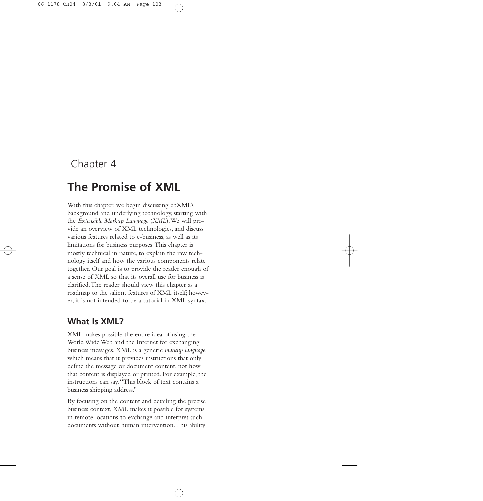# Chapter 4

# **The Promise of XML**

With this chapter, we begin discussing ebXML's background and underlying technology, starting with the *Extensible Markup Language* (*XML*).We will provide an overview of XML technologies, and discuss various features related to e-business, as well as its limitations for business purposes.This chapter is mostly technical in nature, to explain the raw technology itself and how the various components relate together. Our goal is to provide the reader enough of a sense of XML so that its overall use for business is clarified.The reader should view this chapter as a roadmap to the salient features of XML itself; however, it is not intended to be a tutorial in XML syntax.

# **What Is XML?**

XML makes possible the entire idea of using the World Wide Web and the Internet for exchanging business messages. XML is a generic *markup language*, which means that it provides instructions that only define the message or document content, not how that content is displayed or printed. For example, the instructions can say,"This block of text contains a business shipping address."

By focusing on the content and detailing the precise business context, XML makes it possible for systems in remote locations to exchange and interpret such documents without human intervention.This ability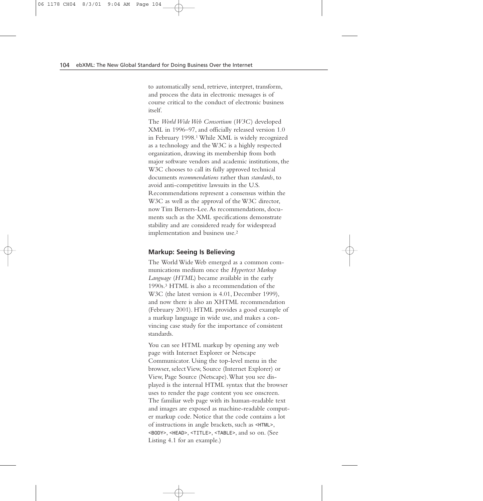to automatically send, retrieve, interpret, transform, and process the data in electronic messages is of course critical to the conduct of electronic business itself.

The *World Wide Web Consortium* (*W3C*) developed XML in 1996–97, and officially released version 1.0 in February 1998.1 While XML is widely recognized as a technology and the W3C is a highly respected organization, drawing its membership from both major software vendors and academic institutions, the W3C chooses to call its fully approved technical documents *recommendations* rather than *standards*, to avoid anti-competitive lawsuits in the U.S. Recommendations represent a consensus within the W3C as well as the approval of the W3C director, now Tim Berners-Lee.As recommendations, documents such as the XML specifications demonstrate stability and are considered ready for widespread implementation and business use.2

#### **Markup: Seeing Is Believing**

The World Wide Web emerged as a common communications medium once the *Hypertext Markup Language* (*HTML*) became available in the early 1990s.3 HTML is also a recommendation of the W3C (the latest version is 4.01, December 1999), and now there is also an XHTML recommendation (February 2001). HTML provides a good example of a markup language in wide use, and makes a convincing case study for the importance of consistent standards.

You can see HTML markup by opening any web page with Internet Explorer or Netscape Communicator. Using the top-level menu in the browser, select View, Source (Internet Explorer) or View, Page Source (Netscape).What you see displayed is the internal HTML syntax that the browser uses to render the page content you see onscreen. The familiar web page with its human-readable text and images are exposed as machine-readable computer markup code. Notice that the code contains a lot of instructions in angle brackets, such as *<HTML>*, *<BODY>*, *<HEAD>*, *<TITLE>*, *<TABLE>*, and so on. (See Listing 4.1 for an example.)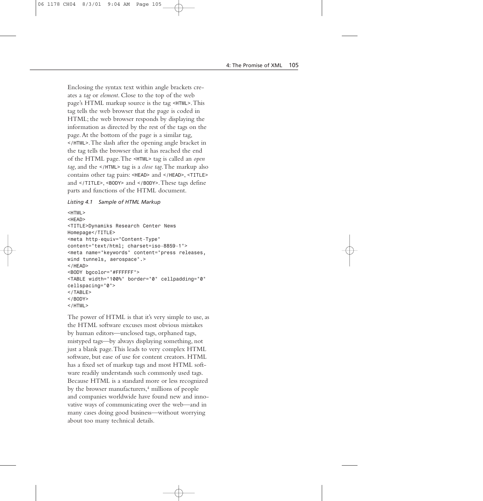Enclosing the syntax text within angle brackets creates a *tag* or *element*. Close to the top of the web page's HTML markup source is the tag *<HTML>*.This tag tells the web browser that the page is coded in HTML; the web browser responds by displaying the information as directed by the rest of the tags on the page.At the bottom of the page is a similar tag, *</HTML>*.The slash after the opening angle bracket in the tag tells the browser that it has reached the end of the HTML page.The *<HTML>* tag is called an *open tag*, and the *</HTML>* tag is a *close tag*.The markup also contains other tag pairs: *<HEAD>* and *</HEAD>*, *<TITLE>* and *</TITLE>*, *<BODY>* and *</BODY>*.These tags define parts and functions of the HTML document.

#### *Listing 4.1 Sample of HTML Markup*

```
<HTML>
<HEAD>
<TITLE>Dynamiks Research Center News
Homepage</TITLE>
<meta http-equiv="Content-Type"
content="text/html; charset=iso-8859-1">
<meta name="keywords" content="press releases,
wind tunnels, aerospace".>
</HEAD>
<BODY bgcolor="#FFFFFF">
<TABLE width="100%" border="0" cellpadding="0"
cellspacing="0">
</TABLE>
</BODY>
</HTML>
```
The power of HTML is that it's very simple to use, as the HTML software excuses most obvious mistakes by human editors—unclosed tags, orphaned tags, mistyped tags—by always displaying something, not just a blank page.This leads to very complex HTML software, but ease of use for content creators. HTML has a fixed set of markup tags and most HTML software readily understands such commonly used tags. Because HTML is a standard more or less recognized by the browser manufacturers,4 millions of people and companies worldwide have found new and innovative ways of communicating over the web—and in many cases doing good business—without worrying about too many technical details.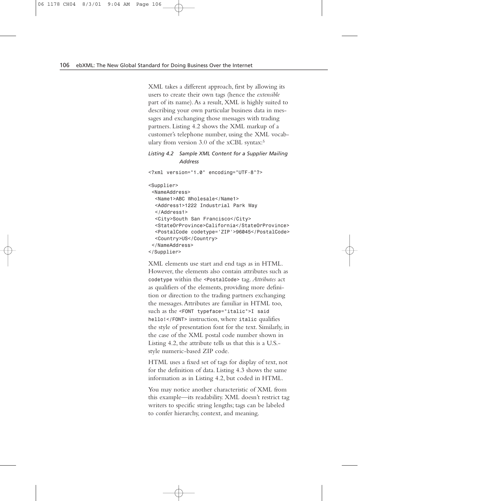XML takes a different approach, first by allowing its users to create their own tags (hence the *extensible* part of its name).As a result, XML is highly suited to describing your own particular business data in messages and exchanging those messages with trading partners. Listing 4.2 shows the XML markup of a customer's telephone number, using the XML vocabulary from version 3.0 of the xCBL syntax:5

*Listing 4.2 Sample XML Content for a Supplier Mailing Address*

*<?xml version="1.0" encoding="UTF-8"?> <Supplier> <NameAddress> <Name1>ABC Wholesale</Name1> <Address1>1222 Industrial Park Way </Address1> <City>South San Francisco</City> <StateOrProvince>California</StateOrProvince> <PostalCode codetype='ZIP'>96045</PostalCode> <Country>US</Country> </NameAddress> </Supplier>*

XML elements use start and end tags as in HTML. However, the elements also contain attributes such as *codetype* within the *<PostalCode>* tag. *Attributes* act as qualifiers of the elements, providing more definition or direction to the trading partners exchanging the messages.Attributes are familiar in HTML too, such as the *<FONT typeface="italic">I said hello!</FONT>* instruction, where *italic* qualifies the style of presentation font for the text. Similarly, in the case of the XML postal code number shown in Listing 4.2, the attribute tells us that this is a U.S. style numeric-based ZIP code.

HTML uses a fixed set of tags for display of text, not for the definition of data. Listing 4.3 shows the same information as in Listing 4.2, but coded in HTML.

You may notice another characteristic of XML from this example—its readability. XML doesn't restrict tag writers to specific string lengths; tags can be labeled to confer hierarchy, context, and meaning.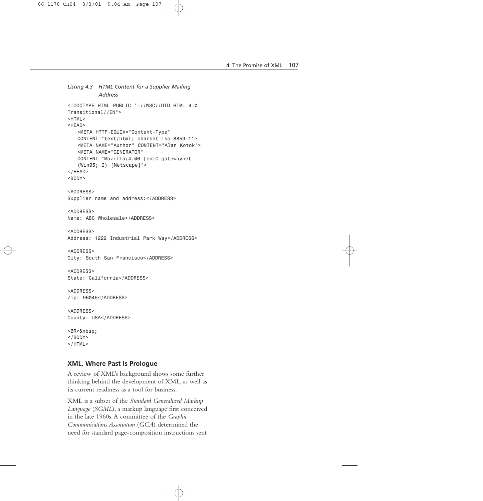```
Listing 4.3 HTML Content for a Supplier Mailing
          Address
<!DOCTYPE HTML PUBLIC "-//W3C//DTD HTML 4.0
Transitional//EN">
<HTML>
<HEAD>
   <META HTTP-EQUIV="Content-Type"
   CONTENT="text/html; charset=iso-8859-1">
   <META NAME="Author" CONTENT="Alan Kotok">
   <META NAME="GENERATOR" 
   CONTENT="Mozilla/4.06 [en]C-gatewaynet 
   (Win95; I) [Netscape]">
</HEAD>
<BODY>
<ADDRESS>
Supplier name and address:</ADDRESS>
<ADDRESS>
Name: ABC Wholesale</ADDRESS>
<ADDRESS>
Address: 1222 Industrial Park Way</ADDRESS>
<ADDRESS>
City: South San Francisco</ADDRESS>
<ADDRESS>
State: California</ADDRESS>
<ADDRESS>
Zip: 96045</ADDRESS>
<ADDRESS>
County: USA</ADDRESS>
<BR>&nbsp;
</BODY>
</HTML>
```
#### **XML, Where Past Is Prologue**

A review of XML's background shows some further thinking behind the development of XML, as well as its current readiness as a tool for business.

XML is a subset of the *Standard Generalized Markup Language* (*SGML*), a markup language first conceived in the late 1960s.A committee of the *Graphic Communications Association* (*GCA*) determined the need for standard page-composition instructions sent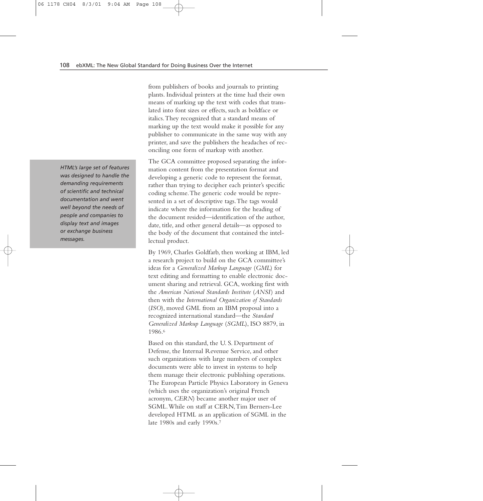from publishers of books and journals to printing plants. Individual printers at the time had their own means of marking up the text with codes that translated into font sizes or effects, such as boldface or italics.They recognized that a standard means of marking up the text would make it possible for any publisher to communicate in the same way with any printer, and save the publishers the headaches of reconciling one form of markup with another.

The GCA committee proposed separating the information content from the presentation format and developing a generic code to represent the format, rather than trying to decipher each printer's specific coding scheme.The generic code would be represented in a set of descriptive tags.The tags would indicate where the information for the heading of the document resided—identification of the author, date, title, and other general details—as opposed to the body of the document that contained the intellectual product.

By 1969, Charles Goldfarb, then working at IBM, led a research project to build on the GCA committee's ideas for a *Generalized Markup Language* (*GML*) for text editing and formatting to enable electronic document sharing and retrieval. GCA, working first with the *American National Standards Institute* (*ANSI*) and then with the *International Organization of Standards* (*ISO*), moved GML from an IBM proposal into a recognized international standard—the *Standard Generalized Markup Language* (*SGML*), ISO 8879, in 1986.6

Based on this standard, the U. S. Department of Defense, the Internal Revenue Service, and other such organizations with large numbers of complex documents were able to invest in systems to help them manage their electronic publishing operations. The European Particle Physics Laboratory in Geneva (which uses the organization's original French acronym, *CERN*) became another major user of SGML.While on staff at CERN,Tim Berners-Lee developed HTML as an application of SGML in the late 1980s and early 1990s.7

*HTML's large set of features was designed to handle the demanding requirements of scientific and technical documentation and went well beyond the needs of people and companies to display text and images or exchange business messages.*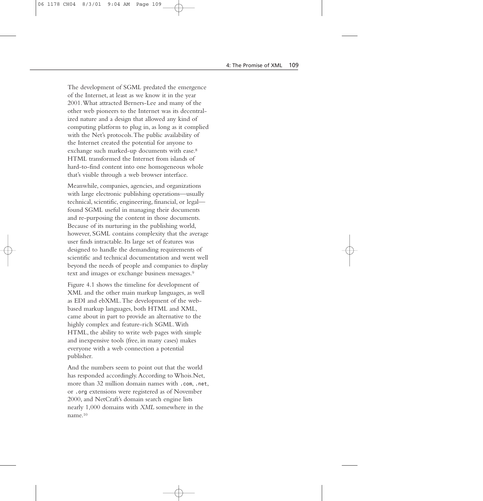The development of SGML predated the emergence of the Internet, at least as we know it in the year 2001.What attracted Berners-Lee and many of the other web pioneers to the Internet was its decentralized nature and a design that allowed any kind of computing platform to plug in, as long as it complied with the Net's protocols.The public availability of the Internet created the potential for anyone to exchange such marked-up documents with ease.8 HTML transformed the Internet from islands of hard-to-find content into one homogeneous whole that's visible through a web browser interface.

Meanwhile, companies, agencies, and organizations with large electronic publishing operations—usually technical, scientific, engineering, financial, or legal found SGML useful in managing their documents and re-purposing the content in those documents. Because of its nurturing in the publishing world, however, SGML contains complexity that the average user finds intractable. Its large set of features was designed to handle the demanding requirements of scientific and technical documentation and went well beyond the needs of people and companies to display text and images or exchange business messages.9

Figure 4.1 shows the timeline for development of XML and the other main markup languages, as well as EDI and ebXML.The development of the webbased markup languages, both HTML and XML, came about in part to provide an alternative to the highly complex and feature-rich SGML.With HTML, the ability to write web pages with simple and inexpensive tools (free, in many cases) makes everyone with a web connection a potential publisher.

And the numbers seem to point out that the world has responded accordingly.According to Whois.Net, more than 32 million domain names with *.com*, *.net*, or *.org* extensions were registered as of November 2000, and NetCraft's domain search engine lists nearly 1,000 domains with *XML* somewhere in the name.10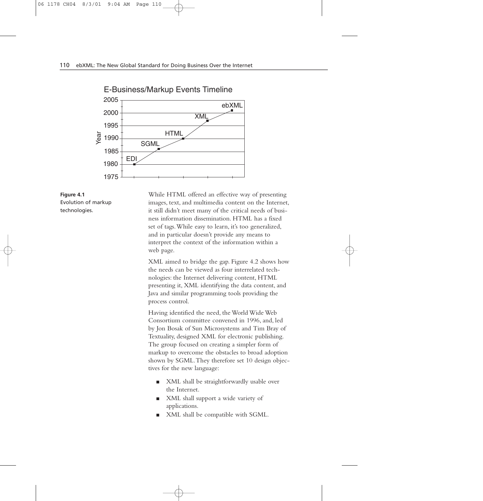

**Figure 4.1** Evolution of markup technologies.

While HTML offered an effective way of presenting images, text, and multimedia content on the Internet, it still didn't meet many of the critical needs of business information dissemination. HTML has a fixed set of tags.While easy to learn, it's too generalized, and in particular doesn't provide any means to interpret the context of the information within a web page.

XML aimed to bridge the gap. Figure 4.2 shows how the needs can be viewed as four interrelated technologies: the Internet delivering content, HTML presenting it, XML identifying the data content, and Java and similar programming tools providing the process control.

Having identified the need, the World Wide Web Consortium committee convened in 1996, and, led by Jon Bosak of Sun Microsystems and Tim Bray of Textuality, designed XML for electronic publishing. The group focused on creating a simpler form of markup to overcome the obstacles to broad adoption shown by SGML.They therefore set 10 design objectives for the new language:

- XML shall be straightforwardly usable over the Internet.
- XML shall support a wide variety of applications.
- XML shall be compatible with SGML.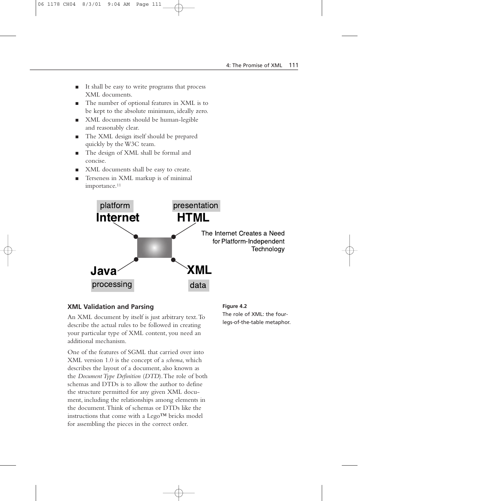- It shall be easy to write programs that process XML documents.
- The number of optional features in XML is to be kept to the absolute minimum, ideally zero.
- XML documents should be human-legible and reasonably clear.
- The XML design itself should be prepared quickly by the W3C team.
- The design of XML shall be formal and concise.
- XML documents shall be easy to create.
- Terseness in XML markup is of minimal importance.11



## **XML Validation and Parsing**

An XML document by itself is just arbitrary text.To describe the actual rules to be followed in creating your particular type of XML content, you need an additional mechanism.

One of the features of SGML that carried over into XML version 1.0 is the concept of a *schema*, which describes the layout of a document, also known as the *Document Type Definition* (*DTD*).The role of both schemas and DTDs is to allow the author to define the structure permitted for any given XML document, including the relationships among elements in the document.Think of schemas or DTDs like the instructions that come with a Lego™ bricks model for assembling the pieces in the correct order.

**Figure 4.2** The role of XML: the fourlegs-of-the-table metaphor.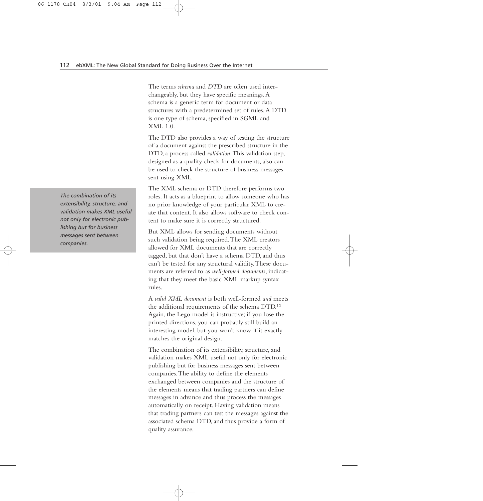The terms *schema* and *DTD* are often used interchangeably, but they have specific meanings.A schema is a generic term for document or data structures with a predetermined set of rules.A DTD is one type of schema, specified in SGML and  $XMI.10.$ 

The DTD also provides a way of testing the structure of a document against the prescribed structure in the DTD, a process called *validation*.This validation step, designed as a quality check for documents, also can be used to check the structure of business messages sent using XML.

The XML schema or DTD therefore performs two roles. It acts as a blueprint to allow someone who has no prior knowledge of your particular XML to create that content. It also allows software to check content to make sure it is correctly structured.

But XML allows for sending documents without such validation being required.The XML creators allowed for XML documents that are correctly tagged, but that don't have a schema DTD, and thus can't be tested for any structural validity.These documents are referred to as *well-formed documents*, indicating that they meet the basic XML markup syntax rules.

A *valid XML document* is both well-formed *and* meets the additional requirements of the schema DTD.12 Again, the Lego model is instructive; if you lose the printed directions, you can probably still build an interesting model, but you won't know if it exactly matches the original design.

The combination of its extensibility, structure, and validation makes XML useful not only for electronic publishing but for business messages sent between companies.The ability to define the elements exchanged between companies and the structure of the elements means that trading partners can define messages in advance and thus process the messages automatically on receipt. Having validation means that trading partners can test the messages against the associated schema DTD, and thus provide a form of quality assurance.

*The combination of its extensibility, structure, and validation makes XML useful not only for electronic publishing but for business messages sent between companies.*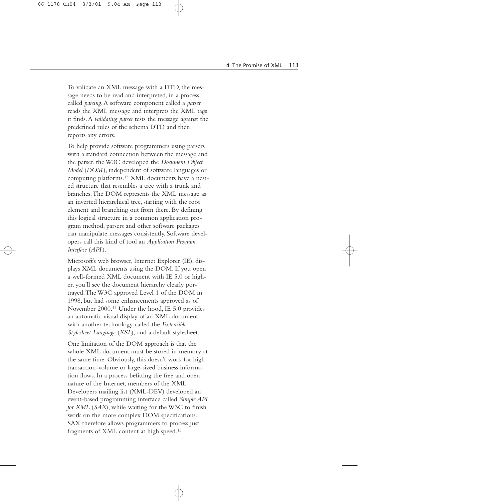To validate an XML message with a DTD, the message needs to be read and interpreted, in a process called *parsing*.A software component called a *parser* reads the XML message and interprets the XML tags it finds.A *validating parser* tests the message against the predefined rules of the schema DTD and then reports any errors.

To help provide software programmers using parsers with a standard connection between the message and the parser, the W3C developed the *Document Object Model* (*DOM* ), independent of software languages or computing platforms.13 XML documents have a nested structure that resembles a tree with a trunk and branches.The DOM represents the XML message as an inverted hierarchical tree, starting with the root element and branching out from there. By defining this logical structure in a common application program method, parsers and other software packages can manipulate messages consistently. Software developers call this kind of tool an *Application Program Interface* (*API* ).

Microsoft's web browser, Internet Explorer (IE), displays XML documents using the DOM. If you open a well-formed XML document with IE 5.0 or higher, you'll see the document hierarchy clearly portrayed.The W3C approved Level 1 of the DOM in 1998, but had some enhancements approved as of November 2000.14 Under the hood, IE 5.0 provides an automatic visual display of an XML document with another technology called the *Extensible Stylesheet Language* (*XSL*), and a default stylesheet.

One limitation of the DOM approach is that the whole XML document must be stored in memory at the same time. Obviously, this doesn't work for high transaction-volume or large-sized business information flows. In a process befitting the free and open nature of the Internet, members of the XML Developers mailing list (XML-DEV) developed an event-based programming interface called *Simple API for XML* (*SAX*), while waiting for the W3C to finish work on the more complex DOM specifications. SAX therefore allows programmers to process just fragments of XML content at high speed.15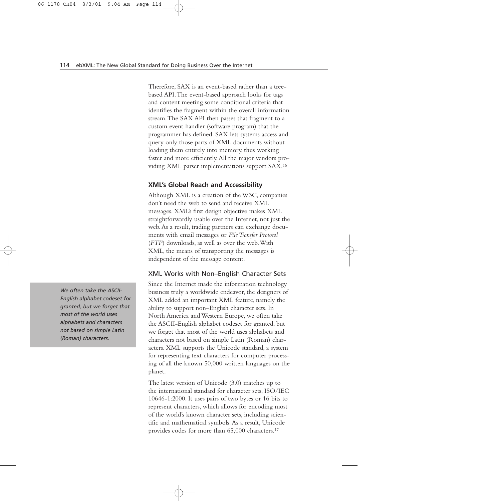Therefore, SAX is an event-based rather than a treebased API.The event-based approach looks for tags and content meeting some conditional criteria that identifies the fragment within the overall information stream.The SAX API then passes that fragment to a custom event handler (software program) that the programmer has defined. SAX lets systems access and query only those parts of XML documents without loading them entirely into memory, thus working faster and more efficiently.All the major vendors providing XML parser implementations support SAX.16

## **XML's Global Reach and Accessibility**

Although XML is a creation of the W3C, companies don't need the web to send and receive XML messages. XML's first design objective makes XML straightforwardly usable over the Internet, not just the web.As a result, trading partners can exchange documents with email messages or *File Transfer Protocol* (*FTP*) downloads, as well as over the web.With XML, the means of transporting the messages is independent of the message content.

#### XML Works with Non–English Character Sets

Since the Internet made the information technology business truly a worldwide endeavor, the designers of XML added an important XML feature, namely the ability to support non–English character sets. In North America and Western Europe, we often take the ASCII-English alphabet codeset for granted, but we forget that most of the world uses alphabets and characters not based on simple Latin (Roman) characters. XML supports the Unicode standard, a system for representing text characters for computer processing of all the known 50,000 written languages on the planet.

The latest version of Unicode (3.0) matches up to the international standard for character sets, ISO/IEC 10646-1:2000. It uses pairs of two bytes or 16 bits to represent characters, which allows for encoding most of the world's known character sets, including scientific and mathematical symbols.As a result, Unicode provides codes for more than 65,000 characters.17

*We often take the ASCII-English alphabet codeset for granted, but we forget that most of the world uses alphabets and characters not based on simple Latin (Roman) characters.*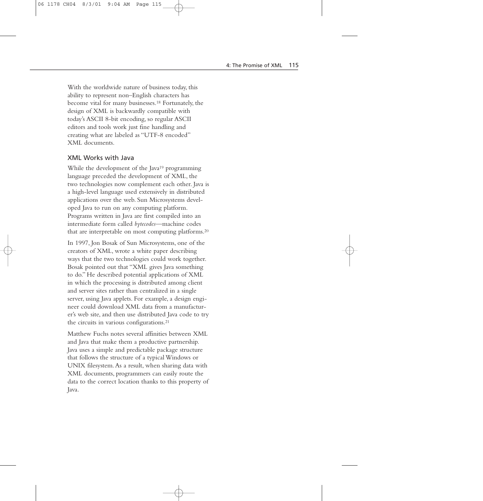With the worldwide nature of business today, this ability to represent non–English characters has become vital for many businesses.18 Fortunately, the design of XML is backwardly compatible with today's ASCII 8-bit encoding, so regular ASCII editors and tools work just fine handling and creating what are labeled as "UTF-8 encoded" XML documents.

#### XML Works with Java

While the development of the Java<sup>19</sup> programming language preceded the development of XML, the two technologies now complement each other. Java is a high-level language used extensively in distributed applications over the web. Sun Microsystems developed Java to run on any computing platform. Programs written in Java are first compiled into an intermediate form called *bytecodes*—machine codes that are interpretable on most computing platforms.20

In 1997, Jon Bosak of Sun Microsystems, one of the creators of XML, wrote a white paper describing ways that the two technologies could work together. Bosak pointed out that "XML gives Java something to do." He described potential applications of XML in which the processing is distributed among client and server sites rather than centralized in a single server, using Java applets. For example, a design engineer could download XML data from a manufacturer's web site, and then use distributed Java code to try the circuits in various configurations.21

Matthew Fuchs notes several affinities between XML and Java that make them a productive partnership. Java uses a simple and predictable package structure that follows the structure of a typical Windows or UNIX filesystem.As a result, when sharing data with XML documents, programmers can easily route the data to the correct location thanks to this property of Java.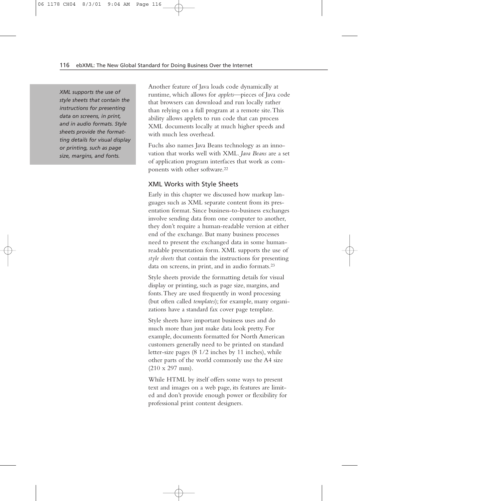*XML supports the use of style sheets that contain the instructions for presenting data on screens, in print, and in audio formats. Style sheets provide the formatting details for visual display or printing, such as page size, margins, and fonts.*

Another feature of Java loads code dynamically at runtime, which allows for *applets*—pieces of Java code that browsers can download and run locally rather than relying on a full program at a remote site.This ability allows applets to run code that can process XML documents locally at much higher speeds and with much less overhead.

Fuchs also names Java Beans technology as an innovation that works well with XML. *Java Beans* are a set of application program interfaces that work as components with other software.22

#### XML Works with Style Sheets

Early in this chapter we discussed how markup languages such as XML separate content from its presentation format. Since business-to-business exchanges involve sending data from one computer to another, they don't require a human-readable version at either end of the exchange. But many business processes need to present the exchanged data in some humanreadable presentation form. XML supports the use of *style sheets* that contain the instructions for presenting data on screens, in print, and in audio formats.23

Style sheets provide the formatting details for visual display or printing, such as page size, margins, and fonts.They are used frequently in word processing (but often called *templates*); for example, many organizations have a standard fax cover page template.

Style sheets have important business uses and do much more than just make data look pretty. For example, documents formatted for North American customers generally need to be printed on standard letter-size pages (8 1/2 inches by 11 inches), while other parts of the world commonly use the A4 size (210 x 297 mm).

While HTML by itself offers some ways to present text and images on a web page, its features are limited and don't provide enough power or flexibility for professional print content designers.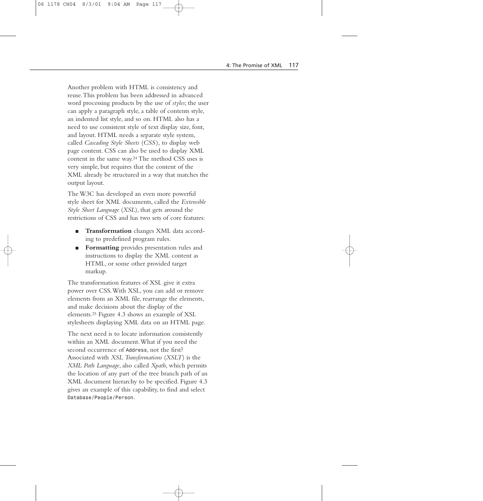Another problem with HTML is consistency and reuse.This problem has been addressed in advanced word processing products by the use of *styles*; the user can apply a paragraph style, a table of contents style, an indented list style, and so on. HTML also has a need to use consistent style of text display size, font, and layout. HTML needs a separate style system, called *Cascading Style Sheets* (*CSS* ), to display web page content. CSS can also be used to display XML content in the same way.24 The method CSS uses is very simple, but requires that the content of the XML already be structured in a way that matches the output layout.

The W3C has developed an even more powerful style sheet for XML documents, called the *Extensible Style Sheet Language* (*XSL*), that gets around the restrictions of CSS and has two sets of core features:

- **Transformation** changes XML data according to predefined program rules.
- **Formatting** provides presentation rules and instructions to display the XML content as HTML, or some other provided target markup.

The transformation features of XSL give it extra power over CSS.With XSL, you can add or remove elements from an XML file, rearrange the elements, and make decisions about the display of the elements.25 Figure 4.3 shows an example of XSL stylesheets displaying XML data on an HTML page.

The next need is to locate information consistently within an XML document.What if you need the second occurrence of *Address*, not the first? Associated with *XSL Transformations* (*XSLT*) is the *XML Path Language*, also called *Xpath*, which permits the location of any part of the tree branch path of an XML document hierarchy to be specified. Figure 4.3 gives an example of this capability, to find and select *Database/People/Person*.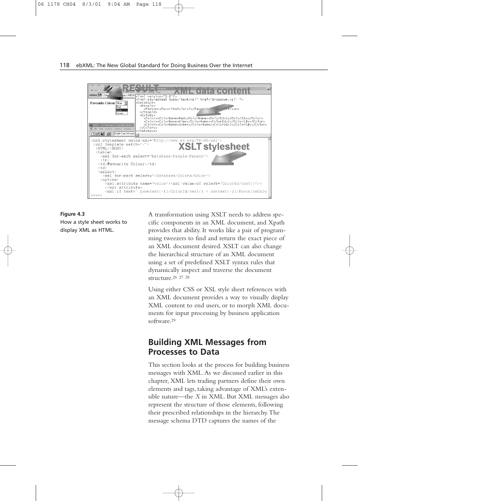

**Figure 4.3** How a style sheet works to display XML as HTML.

A transformation using XSLT needs to address specific components in an XML document, and Xpath provides that ability. It works like a pair of programming tweezers to find and return the exact piece of an XML document desired. XSLT can also change the hierarchical structure of an XML document using a set of predefined XSLT syntax rules that dynamically inspect and traverse the document structure.26 27 28

Using either CSS or XSL style sheet references with an XML document provides a way to visually display XML content to end users, or to morph XML documents for input processing by business application software.29

# **Building XML Messages from Processes to Data**

This section looks at the process for building business messages with XML.As we discussed earlier in this chapter, XML lets trading partners define their own elements and tags, taking advantage of XML's extensible nature—the *X* in XML. But XML messages also represent the structure of those elements, following their prescribed relationships in the hierarchy.The message schema DTD captures the names of the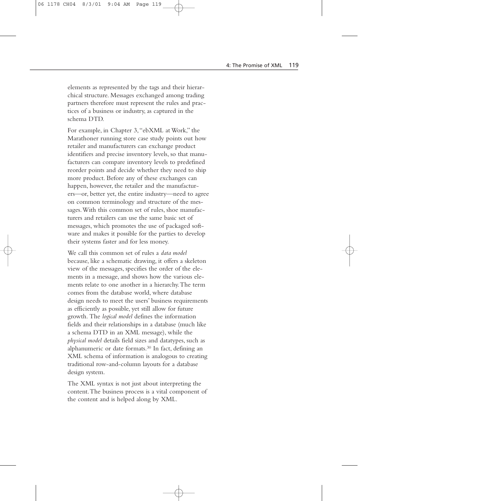elements as represented by the tags and their hierarchical structure. Messages exchanged among trading partners therefore must represent the rules and practices of a business or industry, as captured in the schema DTD.

For example, in Chapter 3,"ebXML at Work," the Marathoner running store case study points out how retailer and manufacturers can exchange product identifiers and precise inventory levels, so that manufacturers can compare inventory levels to predefined reorder points and decide whether they need to ship more product. Before any of these exchanges can happen, however, the retailer and the manufacturers—or, better yet, the entire industry—need to agree on common terminology and structure of the messages.With this common set of rules, shoe manufacturers and retailers can use the same basic set of messages, which promotes the use of packaged software and makes it possible for the parties to develop their systems faster and for less money.

We call this common set of rules a *data model* because, like a schematic drawing, it offers a skeleton view of the messages, specifies the order of the elements in a message, and shows how the various elements relate to one another in a hierarchy.The term comes from the database world, where database design needs to meet the users' business requirements as efficiently as possible, yet still allow for future growth. The *logical model* defines the information fields and their relationships in a database (much like a schema DTD in an XML message), while the *physical model* details field sizes and datatypes, such as alphanumeric or date formats.30 In fact, defining an XML schema of information is analogous to creating traditional row-and-column layouts for a database design system.

The XML syntax is not just about interpreting the content.The business process is a vital component of the content and is helped along by XML.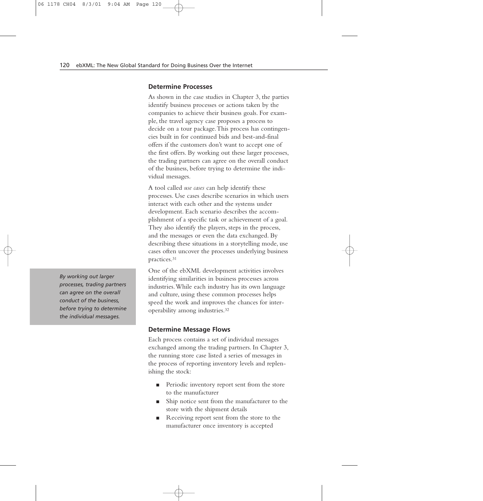#### **Determine Processes**

As shown in the case studies in Chapter 3, the parties identify business processes or actions taken by the companies to achieve their business goals. For example, the travel agency case proposes a process to decide on a tour package.This process has contingencies built in for continued bids and best-and-final offers if the customers don't want to accept one of the first offers. By working out these larger processes, the trading partners can agree on the overall conduct of the business, before trying to determine the individual messages.

A tool called *use cases* can help identify these processes. Use cases describe scenarios in which users interact with each other and the systems under development. Each scenario describes the accomplishment of a specific task or achievement of a goal. They also identify the players, steps in the process, and the messages or even the data exchanged. By describing these situations in a storytelling mode, use cases often uncover the processes underlying business practices.31

One of the ebXML development activities involves identifying similarities in business processes across industries.While each industry has its own language and culture, using these common processes helps speed the work and improves the chances for interoperability among industries.32

## **Determine Message Flows**

Each process contains a set of individual messages exchanged among the trading partners. In Chapter 3, the running store case listed a series of messages in the process of reporting inventory levels and replenishing the stock:

- Periodic inventory report sent from the store to the manufacturer
- Ship notice sent from the manufacturer to the store with the shipment details
- Receiving report sent from the store to the manufacturer once inventory is accepted

*By working out larger processes, trading partners can agree on the overall conduct of the business, before trying to determine the individual messages.*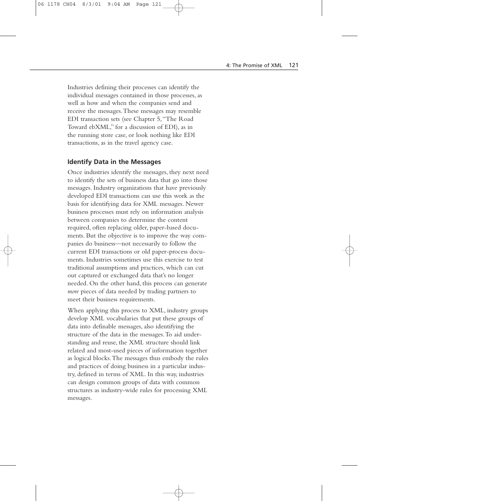Industries defining their processes can identify the individual messages contained in those processes, as well as how and when the companies send and receive the messages.These messages may resemble EDI transaction sets (see Chapter 5,"The Road Toward ebXML," for a discussion of EDI), as in the running store case, or look nothing like EDI transactions, as in the travel agency case.

#### **Identify Data in the Messages**

Once industries identify the messages, they next need to identify the sets of business data that go into those messages. Industry organizations that have previously developed EDI transactions can use this work as the basis for identifying data for XML messages. Newer business processes must rely on information analysis between companies to determine the content required, often replacing older, paper-based documents. But the objective is to improve the way companies do business—not necessarily to follow the current EDI transactions or old paper-process documents. Industries sometimes use this exercise to test traditional assumptions and practices, which can cut out captured or exchanged data that's no longer needed. On the other hand, this process can generate *more* pieces of data needed by trading partners to meet their business requirements.

When applying this process to XML, industry groups develop XML vocabularies that put these groups of data into definable messages, also identifying the structure of the data in the messages.To aid understanding and reuse, the XML structure should link related and most-used pieces of information together as logical blocks.The messages thus embody the rules and practices of doing business in a particular industry, defined in terms of XML. In this way, industries can design common groups of data with common structures as industry-wide rules for processing XML messages.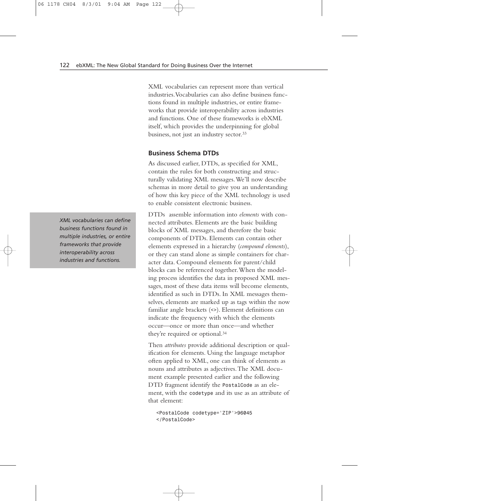XML vocabularies can represent more than vertical industries.Vocabularies can also define business functions found in multiple industries, or entire frameworks that provide interoperability across industries and functions. One of these frameworks is ebXML itself, which provides the underpinning for global business, not just an industry sector.33

#### **Business Schema DTDs**

As discussed earlier, DTDs, as specified for XML, contain the rules for both constructing and structurally validating XML messages.We'll now describe schemas in more detail to give you an understanding of how this key piece of the XML technology is used to enable consistent electronic business.

DTDs assemble information into *elements* with connected attributes. Elements are the basic building blocks of XML messages, and therefore the basic components of DTDs. Elements can contain other elements expressed in a hierarchy (*compound elements*), or they can stand alone as simple containers for character data. Compound elements for parent/child blocks can be referenced together.When the modeling process identifies the data in proposed XML messages, most of these data items will become elements, identified as such in DTDs. In XML messages themselves, elements are marked up as tags within the now familiar angle brackets (*<>*). Element definitions can indicate the frequency with which the elements occur—once or more than once—and whether they're required or optional.34

Then *attributes* provide additional description or qualification for elements. Using the language metaphor often applied to XML, one can think of elements as nouns and attributes as adjectives.The XML document example presented earlier and the following DTD fragment identify the *PostalCode* as an element, with the *codetype* and its use as an attribute of that element:

*<PostalCode codetype='ZIP'>96045 </PostalCode>*

*XML vocabularies can define business functions found in multiple industries, or entire frameworks that provide interoperability across industries and functions.*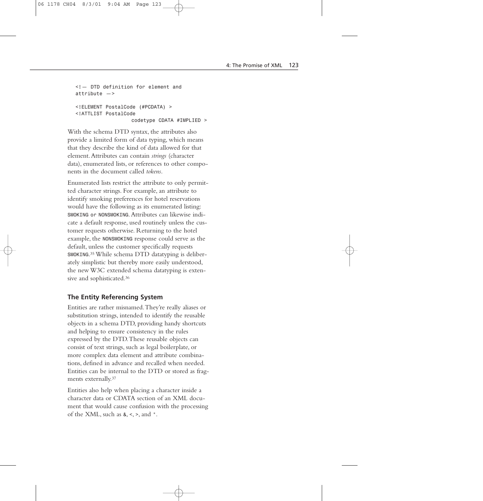```
<!— DTD definition for element and 
attribute —>
<!ELEMENT PostalCode (#PCDATA) >
<!ATTLIST PostalCode
                  codetype CDATA #IMPLIED >
```
With the schema DTD syntax, the attributes also provide a limited form of data typing, which means that they describe the kind of data allowed for that element.Attributes can contain *strings* (character data), enumerated lists, or references to other components in the document called *tokens*.

Enumerated lists restrict the attribute to only permitted character strings. For example, an attribute to identify smoking preferences for hotel reservations would have the following as its enumerated listing: *SMOKING or NONSMOKING*.Attributes can likewise indicate a default response, used routinely unless the customer requests otherwise. Returning to the hotel example, the *NONSMOKING* response could serve as the default, unless the customer specifically requests *SMOKING*.35 While schema DTD datatyping is deliberately simplistic but thereby more easily understood, the new W3C extended schema datatyping is extensive and sophisticated.36

## **The Entity Referencing System**

Entities are rather misnamed.They're really aliases or substitution strings, intended to identify the reusable objects in a schema DTD, providing handy shortcuts and helping to ensure consistency in the rules expressed by the DTD.These reusable objects can consist of text strings, such as legal boilerplate, or more complex data element and attribute combinations, defined in advance and recalled when needed. Entities can be internal to the DTD or stored as fragments externally.37

Entities also help when placing a character inside a character data or CDATA section of an XML document that would cause confusion with the processing of the XML, such as *&*, *<*, *>*, and *"*.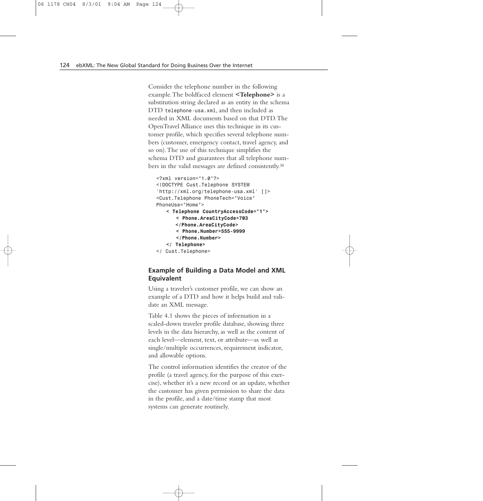Consider the telephone number in the following example.The boldfaced element **<Telephone>** is a substitution string declared as an entity in the schema DTD *telephone-usa.xml*, and then included as needed in XML documents based on that DTD.The OpenTravel Alliance uses this technique in its customer profile, which specifies several telephone numbers (customer, emergency contact, travel agency, and so on).The use of this technique simplifies the schema DTD and guarantees that all telephone numbers in the valid messages are defined consistently.38

```
<?xml version="1.0"?>
<!DOCTYPE Cust.Telephone SYSTEM
'http://xml.org/telephone-usa.xml' []>
<Cust.Telephone PhoneTech="Voice"
PhoneUse="Home">
   < Telephone CountryAccessCode="1">
      < Phone.AreaCityCode>703
      </Phone.AreaCityCode>
      < Phone.Number>555-9999
      </Phone.Number>
   </ Telephone>
</ Cust.Telephone>
```
# **Example of Building a Data Model and XML Equivalent**

Using a traveler's customer profile, we can show an example of a DTD and how it helps build and validate an XML message.

Table 4.1 shows the pieces of information in a scaled-down traveler profile database, showing three levels in the data hierarchy, as well as the content of each level—element, text, or attribute—as well as single/multiple occurrences, requirement indicator, and allowable options.

The control information identifies the creator of the profile (a travel agency, for the purpose of this exercise), whether it's a new record or an update, whether the customer has given permission to share the data in the profile, and a date/time stamp that most systems can generate routinely.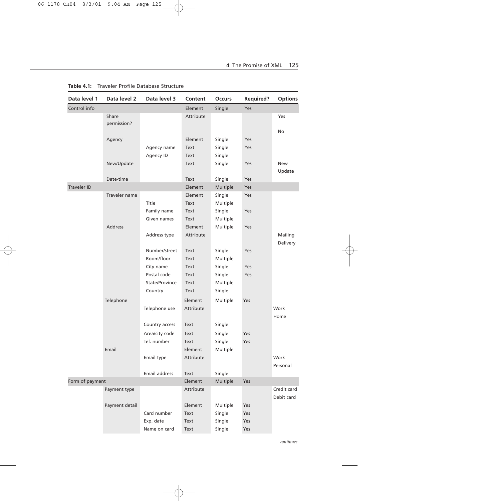| Data level 1       | Data level 2   | Data level 3   | Content   | <b>Occurs</b> | <b>Required?</b> | <b>Options</b> |
|--------------------|----------------|----------------|-----------|---------------|------------------|----------------|
| Control info       |                |                | Element   | Single        | Yes              |                |
|                    | Share          |                | Attribute |               |                  | Yes            |
|                    | permission?    |                |           |               |                  |                |
|                    |                |                |           |               |                  | No             |
|                    | Agency         |                | Element   | Single        | Yes              |                |
|                    |                | Agency name    | Text      | Single        | Yes              |                |
|                    |                | Agency ID      | Text      | Single        |                  |                |
|                    | New/Update     |                | Text      | Single        | Yes              | New            |
|                    |                |                |           |               |                  | Update         |
|                    | Date-time      |                | Text      | Single        | Yes              |                |
| <b>Traveler ID</b> |                |                | Element   | Multiple      | Yes              |                |
|                    | Traveler name  |                | Element   | Single        | Yes              |                |
|                    |                | Title          | Text      | Multiple      |                  |                |
|                    |                | Family name    | Text      | Single        | Yes              |                |
|                    |                | Given names    | Text      | Multiple      |                  |                |
|                    | <b>Address</b> |                | Element   | Multiple      | Yes              |                |
|                    |                | Address type   | Attribute |               |                  | Mailing        |
|                    |                |                |           |               |                  | Delivery       |
|                    |                | Number/street  | Text      | Single        | Yes              |                |
|                    |                | Room/floor     | Text      | Multiple      |                  |                |
|                    |                | City name      | Text      | Single        | Yes              |                |
|                    |                | Postal code    | Text      | Single        | Yes              |                |
|                    |                | State/Province | Text      | Multiple      |                  |                |
|                    |                | Country        | Text      | Single        |                  |                |
|                    | Telephone      |                | Element   | Multiple      | Yes              |                |
|                    |                | Telephone use  | Attribute |               |                  | Work           |
|                    |                |                |           |               |                  | Home           |
|                    |                | Country access | Text      | Single        |                  |                |
|                    |                | Area/city code | Text      | Single        | Yes              |                |
|                    |                | Tel. number    | Text      | Single        | Yes              |                |
|                    | Email          |                | Element   | Multiple      |                  |                |
|                    |                | Email type     | Attribute |               |                  | Work           |
|                    |                |                |           |               |                  | Personal       |
|                    |                | Email address  | Text      | Single        |                  |                |
| Form of payment    |                | Element        | Multiple  | Yes           |                  |                |
|                    | Payment type   |                | Attribute |               |                  | Credit card    |
|                    |                |                |           |               |                  | Debit card     |
|                    | Payment detail |                | Element   | Multiple      | Yes              |                |
|                    |                | Card number    | Text      | Single        | Yes              |                |
|                    |                | Exp. date      | Text      | Single        | Yes              |                |
|                    |                | Name on card   | Text      | Single        | Yes              |                |

**Table 4.1:** Traveler Profile Database Structure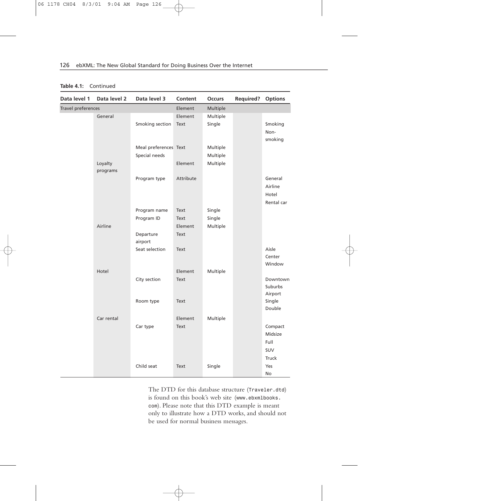| Data level 1       | Data level 2        | Data level 3          | Content   | <b>Occurs</b> | <b>Required?</b> | <b>Options</b>   |
|--------------------|---------------------|-----------------------|-----------|---------------|------------------|------------------|
| Travel preferences |                     | Element               | Multiple  |               |                  |                  |
|                    | General             |                       | Element   | Multiple      |                  |                  |
|                    |                     | Smoking section       | Text      | Single        |                  | Smoking          |
|                    |                     |                       |           |               |                  | Non-             |
|                    |                     |                       |           |               |                  | smoking          |
|                    |                     | Meal preferences Text |           | Multiple      |                  |                  |
|                    |                     | Special needs         |           | Multiple      |                  |                  |
|                    | Loyalty<br>programs |                       | Element   | Multiple      |                  |                  |
|                    |                     |                       |           |               |                  |                  |
|                    |                     | Program type          | Attribute |               |                  | General          |
|                    |                     |                       |           |               |                  | Airline          |
|                    |                     |                       |           |               |                  | Hotel            |
|                    |                     |                       |           |               |                  | Rental car       |
|                    |                     | Program name          | Text      | Single        |                  |                  |
|                    |                     | Program ID            | Text      | Single        |                  |                  |
|                    | Airline             |                       | Element   | Multiple      |                  |                  |
|                    |                     | Departure             | Text      |               |                  |                  |
|                    |                     | airport               |           |               |                  |                  |
|                    |                     | Seat selection        | Text      |               |                  | Aisle            |
|                    |                     |                       |           |               |                  | Center           |
|                    |                     |                       |           |               |                  | Window           |
|                    | Hotel               |                       | Element   | Multiple      |                  |                  |
|                    |                     | City section          | Text      |               |                  | Downtown         |
|                    |                     |                       |           |               |                  | <b>Suburbs</b>   |
|                    |                     |                       |           |               |                  | Airport          |
|                    |                     | Room type             | Text      |               |                  | Single<br>Double |
|                    |                     |                       |           |               |                  |                  |
|                    | Car rental          |                       | Element   | Multiple      |                  |                  |
|                    |                     | Car type              | Text      |               |                  | Compact          |
|                    |                     |                       |           |               |                  | Midsize          |
|                    |                     |                       |           |               |                  | Full             |
|                    |                     |                       |           |               |                  | <b>SUV</b>       |
|                    |                     |                       |           |               |                  | Truck            |
|                    |                     | Child seat            | Text      | Single        |                  | Yes              |
|                    |                     |                       |           |               |                  | No               |

#### **Table 4.1:** Continued

The DTD for this database structure (*Traveler.dtd*) is found on this book's web site (*www.ebxmlbooks. com*). Please note that this DTD example is meant only to illustrate how a DTD works, and should not be used for normal business messages.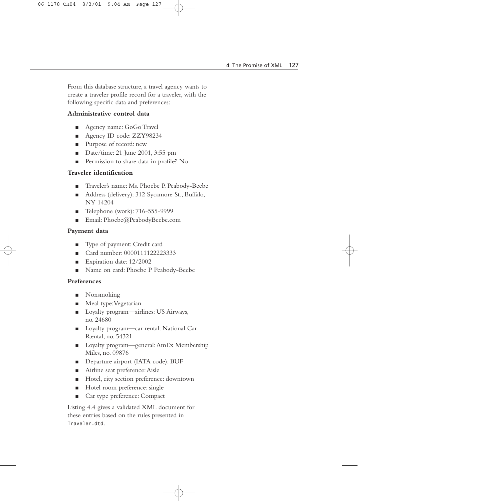From this database structure, a travel agency wants to create a traveler profile record for a traveler, with the following specific data and preferences:

### **Administrative control data**

- Agency name: GoGo Travel
- Agency ID code: ZZY98234
- Purpose of record: new
- Date/time: 21 June 2001, 3:55 pm
- Permission to share data in profile? No

## **Traveler identification**

- Traveler's name: Ms. Phoebe P. Peabody-Beebe
- Address (delivery): 312 Sycamore St., Buffalo, NY 14204
- Telephone (work): 716-555-9999
- Email: Phoebe@PeabodyBeebe.com

# **Payment data**

- Type of payment: Credit card
- Card number: 0000111122223333
- Expiration date: 12/2002
- Name on card: Phoebe P Peabody-Beebe

# **Preferences**

- Nonsmoking
- Meal type:Vegetarian
- Loyalty program—airlines: US Airways, no. 24680
- Loyalty program—car rental: National Car Rental, no. 54321
- Loyalty program—general: AmEx Membership Miles, no. 09876
- Departure airport (IATA code): BUF
- Airline seat preference: Aisle
- Hotel, city section preference: downtown
- Hotel room preference: single
- Car type preference: Compact

Listing 4.4 gives a validated XML document for these entries based on the rules presented in *Traveler.dtd*.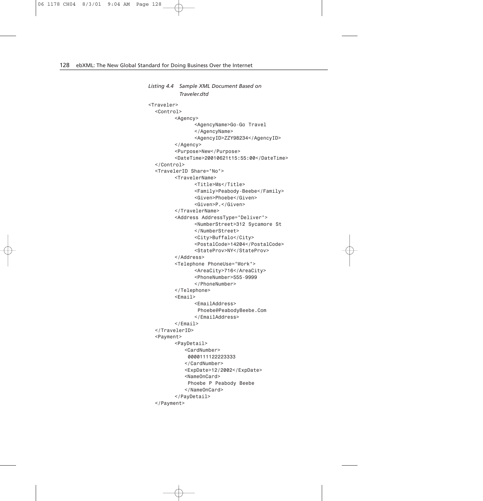```
Listing 4.4 Sample XML Document Based on
          Traveler.dtd
<Traveler>
  <Control>
         <Agency>
                <AgencyName>Go-Go Travel
                </AgencyName>
                <AgencyID>ZZY98234</AgencyID>
        </Agency>
         <Purpose>New</Purpose>
         <DateTime>20010621t15:55:00</DateTime>
  </Control>
  <TravelerID Share="No">
         <TravelerName>
                <Title>Ms</Title>
                <Family>Peabody-Beebe</Family>
                <Given>Phoebe</Given>
                <Given>P.</Given>
         </TravelerName>
         <Address AddressType="Deliver">
                <NumberStreet>312 Sycamore St
                </NumberStreet>
                <City>Buffalo</City>
                <PostalCode>14204</PostalCode>
                <StateProv>NY</StateProv>
         </Address>
         <Telephone PhoneUse="Work">
                <AreaCity>716</AreaCity>
                <PhoneNumber>555-9999
                </PhoneNumber>
         </Telephone>
         <Email>
                <EmailAddress>
                Phoebe@PeabodyBeebe.Com
                </EmailAddress>
         </Email>
  </TravelerID>
  <Payment>
         <PayDetail>
            <CardNumber>
             0000111122223333
            </CardNumber>
            <ExpDate>12/2002</ExpDate>
            <NameOnCard>
             Phoebe P Peabody Beebe
            </NameOnCard>
         </PayDetail>
  </Payment>
```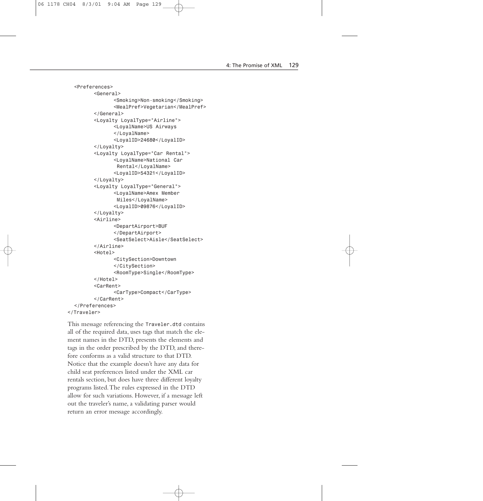```
<Preferences>
         <General>
                <Smoking>Non-smoking</Smoking>
                <MealPref>Vegetarian</MealPref>
         </General>
         <Loyalty LoyalType="Airline">
                <LoyalName>US Airways
                </LoyalName>
                <LoyalID>24680</LoyalID>
         </Loyalty>
         <Loyalty LoyalType="Car Rental">
                <LoyalName>National Car 
                 Rental</LoyalName>
                <LoyalID>54321</LoyalID>
         </Loyalty>
         <Loyalty LoyalType="General">
                <LoyalName>Amex Member
                 Miles</LoyalName>
                <LoyalID>09876</LoyalID>
         </Loyalty>
         <Airline>
                <DepartAirport>BUF
                </DepartAirport>
                <SeatSelect>Aisle</SeatSelect>
         </Airline>
         <Hotel>
                <CitySection>Downtown
                </CitySection>
                <RoomType>Single</RoomType>
         </Hotel>
         <CarRent>
                <CarType>Compact</CarType>
         </CarRent>
  </Preferences>
</Traveler>
```
This message referencing the *Traveler.dtd* contains all of the required data, uses tags that match the element names in the DTD, presents the elements and tags in the order prescribed by the DTD, and therefore conforms as a valid structure to that DTD. Notice that the example doesn't have any data for child seat preferences listed under the XML car rentals section, but does have three different loyalty programs listed.The rules expressed in the DTD allow for such variations. However, if a message left out the traveler's name, a validating parser would return an error message accordingly.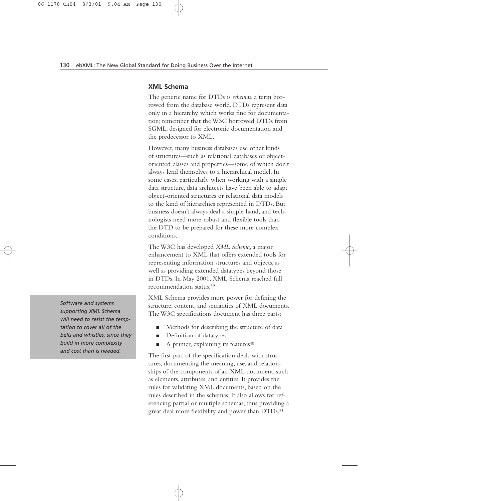#### **XML Schema**

The generic name for DTDs is *schemas*, a term borrowed from the database world. DTDs represent data only in a hierarchy, which works fine for documentation; remember that the W3C borrowed DTDs from SGML, designed for electronic documentation and the predecessor to XML.

However, many business databases use other kinds of structures—such as relational databases or objectoriented classes and properties—some of which don't always lend themselves to a hierarchical model. In some cases, particularly when working with a simple data structure, data architects have been able to adapt object-oriented structures or relational data models to the kind of hierarchies represented in DTDs. But business doesn't always deal a simple hand, and technologists need more robust and flexible tools than the DTD to be prepared for these more complex conditions.

The W3C has developed *XML Schema*, a major enhancement to XML that offers extended tools for representing information structures and objects, as well as providing extended datatypes beyond those in DTDs. In May 2001, XML Schema reached full recommendation status.39

XML Schema provides more power for defining the structure, content, and semantics of XML documents. The W3C specifications document has three parts:

- Methods for describing the structure of data
- Definition of datatypes
- A primer, explaining its features<sup>40</sup>

The first part of the specification deals with structures, documenting the meaning, use, and relationships of the components of an XML document, such as elements, attributes, and entities. It provides the rules for validating XML documents, based on the rules described in the schemas. It also allows for referencing partial or multiple schemas, thus providing a great deal more flexibility and power than DTDs.<sup>41</sup>

*Software and systems supporting XML Schema will need to resist the temptation to cover all of the bells and whistles, since they build in more complexity and cost than is needed.*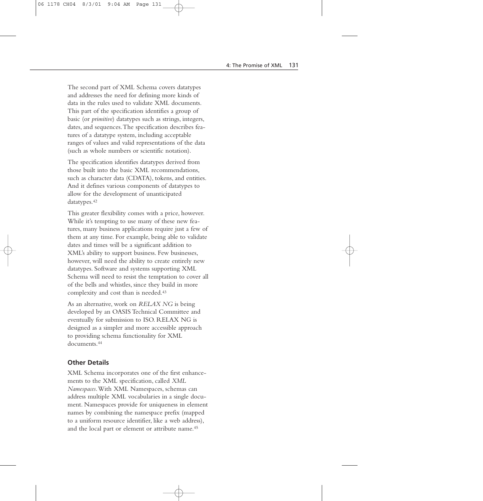The second part of XML Schema covers datatypes and addresses the need for defining more kinds of data in the rules used to validate XML documents. This part of the specification identifies a group of basic (or *primitive*) datatypes such as strings, integers, dates, and sequences.The specification describes features of a datatype system, including acceptable ranges of values and valid representations of the data (such as whole numbers or scientific notation).

The specification identifies datatypes derived from those built into the basic XML recommendations, such as character data (CDATA), tokens, and entities. And it defines various components of datatypes to allow for the development of unanticipated datatypes.42

This greater flexibility comes with a price, however. While it's tempting to use many of these new features, many business applications require just a few of them at any time. For example, being able to validate dates and times will be a significant addition to XML's ability to support business. Few businesses, however, will need the ability to create entirely new datatypes. Software and systems supporting XML Schema will need to resist the temptation to cover all of the bells and whistles, since they build in more complexity and cost than is needed.43

As an alternative, work on *RELAX NG* is being developed by an OASIS Technical Committee and eventually for submission to ISO. RELAX NG is designed as a simpler and more accessible approach to providing schema functionality for XML documents.44

#### **Other Details**

XML Schema incorporates one of the first enhancements to the XML specification, called *XML Namespaces*.With XML Namespaces, schemas can address multiple XML vocabularies in a single document. Namespaces provide for uniqueness in element names by combining the namespace prefix (mapped to a uniform resource identifier, like a web address), and the local part or element or attribute name.<sup>45</sup>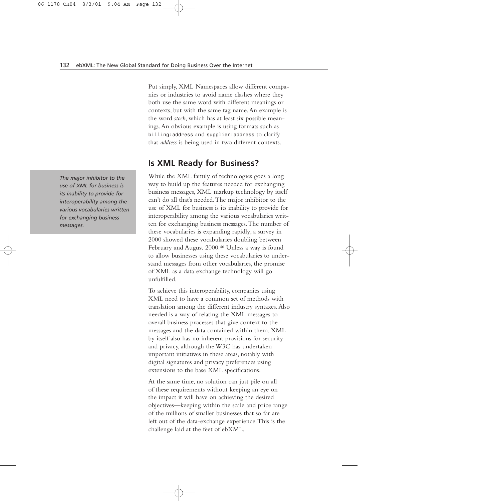Put simply, XML Namespaces allow different companies or industries to avoid name clashes where they both use the same word with different meanings or contexts, but with the same tag name.An example is the word *stock*, which has at least six possible meanings.An obvious example is using formats such as *billing:address* and *supplier:address* to clarify that *address* is being used in two different contexts.

# **Is XML Ready for Business?**

While the XML family of technologies goes a long way to build up the features needed for exchanging business messages, XML markup technology by itself can't do all that's needed.The major inhibitor to the use of XML for business is its inability to provide for interoperability among the various vocabularies written for exchanging business messages.The number of these vocabularies is expanding rapidly; a survey in 2000 showed these vocabularies doubling between February and August 2000.<sup>46</sup> Unless a way is found to allow businesses using these vocabularies to understand messages from other vocabularies, the promise of XML as a data exchange technology will go unfulfilled.

To achieve this interoperability, companies using XML need to have a common set of methods with translation among the different industry syntaxes.Also needed is a way of relating the XML messages to overall business processes that give context to the messages and the data contained within them. XML by itself also has no inherent provisions for security and privacy, although the W3C has undertaken important initiatives in these areas, notably with digital signatures and privacy preferences using extensions to the base XML specifications.

At the same time, no solution can just pile on all of these requirements without keeping an eye on the impact it will have on achieving the desired objectives—keeping within the scale and price range of the millions of smaller businesses that so far are left out of the data-exchange experience.This is the challenge laid at the feet of ebXML.

*The major inhibitor to the use of XML for business is its inability to provide for interoperability among the various vocabularies written for exchanging business messages.*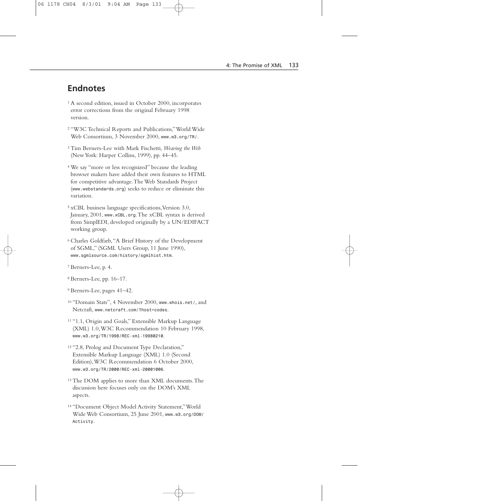# **Endnotes**

- 1 A second edition, issued in October 2000, incorporates error corrections from the original February 1998 version.
- 2 "W3C Technical Reports and Publications,"World Wide Web Consortium, 3 November 2000, *www.w3.org/TR/*.
- 3 Tim Berners-Lee with Mark Fischetti, *Weaving the Web* (New York: Harper Collins, 1999), pp. 44–45.
- 4 We say "more or less recognized" because the leading browser makers have added their own features to HTML for competitive advantage.The Web Standards Project (*www.webstandards.org*) seeks to reduce or eliminate this variation.
- 5 xCBL business language specifications,Version 3.0, January, 2001, *www.xCBL.org*.The xCBL syntax is derived from SimplEDI, developed originally by a UN/EDIFACT working group.
- 6 Charles Goldfarb,"A Brief History of the Development of SGML," (SGML Users Group, 11 June 1990), *www.sgmlsource.com/history/sgmlhist.htm*.
- 7 Berners-Lee, p. 4.
- 8 Berners-Lee, pp. 16–17.
- 9 Berners-Lee, pages 41–42.
- 10 "Domain Stats", 4 November 2000, *www.whois.net/*, and Netcraft, *www.netcraft.com/?host=codes*.
- 11 "1.1, Origin and Goals," Extensible Markup Language (XML) 1.0,W3C Recommendation 10 February 1998, *www.w3.org/TR/1998/REC-xml-19980210*.
- 12 "2.8, Prolog and Document Type Declaration," Extensible Markup Language (XML) 1.0 (Second Edition),W3C Recommendation 6 October 2000, *www.w3.org/TR/2000/REC-xml-20001006*.
- 13 The DOM applies to more than XML documents.The discussion here focuses only on the DOM's XML aspects.
- 14 "Document Object Model Activity Statement,"World Wide Web Consortium, 25 June 2001, *www.w3.org/DOM/ Activity*.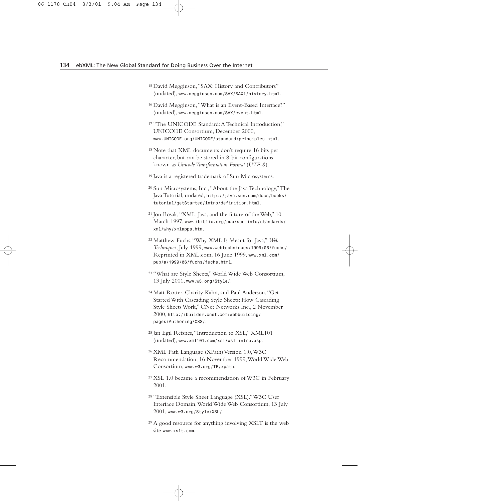- 15 David Megginson,"SAX: History and Contributors" (undated), *www.megginson.com/SAX/SAX1/history.html*.
- 16 David Megginson,"What is an Event-Based Interface?" (undated), *www.megginson.com/SAX/event.html*.
- 17 "The UNICODE Standard:A Technical Introduction," UNICODE Consortium, December 2000, *www.UNICODE.org/UNICODE/standard/principles.html*.
- 18 Note that XML documents don't require 16 bits per character, but can be stored in 8-bit configurations known as *Unicode Transformation Format* (*UTF-8*).
- 19 Java is a registered trademark of Sun Microsystems.
- 20 Sun Microsystems, Inc.,"About the Java Technology,"The Java Tutorial, undated, *http://java.sun.com/docs/books/ tutorial/getStarted/intro/definition.html*.
- 21 Jon Bosak,"XML, Java, and the future of the Web," 10 March 1997, *www.ibiblio.org/pub/sun-info/standards/ xml/why/xmlapps.htm*.
- 22 Matthew Fuchs,"Why XML Is Meant for Java," *Web Techniques*, July 1999, *www.webtechniques/1999/06/fuchs/*. Reprinted in XML.com, 16 June 1999, *www.xml.com/ pub/a/1999/06/fuchs/fuchs.html*.
- 23 "What are Style Sheets,"World Wide Web Consortium, 13 July 2001, *www.w3.org/Style/*.
- 24 Matt Rotter, Charity Kahn, and Paul Anderson,"Get Started With Cascading Style Sheets: How Cascading Style Sheets Work," CNet Networks Inc., 2 November 2000, *http://builder.cnet.com/webbuilding/ pages/Authoring/CSS/*.
- 25 Jan Egil Refsnes,"Introduction to XSL," XML101 (undated), *www.xml101.com/xsl/xsl\_intro.asp*.
- 26 XML Path Language (XPath) Version 1.0,W3C Recommendation, 16 November 1999,World Wide Web Consortium, *www.w3.org/TR/xpath*.
- 27 XSL 1.0 became a recommendation of W3C in February 2001.
- 28 "Extensible Style Sheet Language (XSL)."W3C User Interface Domain,World Wide Web Consortium, 13 July 2001, *www.w3.org/Style/XSL/*.
- 29 A good resource for anything involving XSLT is the web site *www.xslt.com*.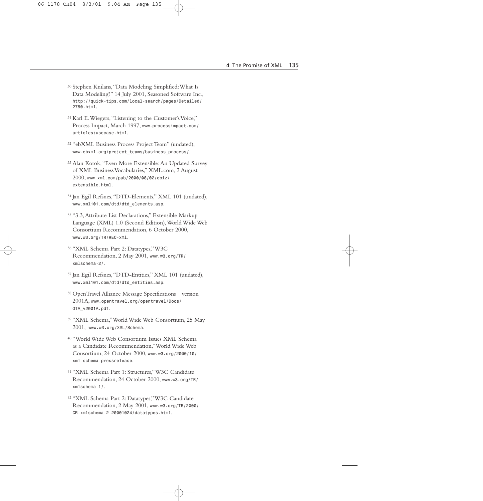- 30 Stephen Knilans,"Data Modeling Simplified:What Is Data Modeling?" 14 July 2001, Seasoned Software Inc., *http://quick-tips.com/local-search/pages/Detailed/ 2750.html*.
- 31 Karl E.Wiegers,"Listening to the Customer's Voice," Process Impact, March 1997, *www.processimpact.com/ articles/usecase.html*.
- 32 "ebXML Business Process Project Team" (undated), *www.ebxml.org/project\_teams/business\_process/*.
- 33 Alan Kotok,"Even More Extensible:An Updated Survey of XML Business Vocabularies," XML.com, 2 August 2000, *www.xml.com/pub/2000/08/02/ebiz/ extensible.html*.
- 34 Jan Egil Refsnes,"DTD-Elements," XML 101 (undated), *www.xml101.com/dtd/dtd\_elements.asp*.
- 35 "3.3,Attribute List Declarations," Extensible Markup Language (XML) 1.0 (Second Edition),World Wide Web Consortium Recommendation, 6 October 2000, *www.w3.org/TR/REC-xml*.
- 36 "XML Schema Part 2: Datatypes,"W3C Recommendation, 2 May 2001, *www.w3.org/TR/ xmlschema-2/*.
- 37 Jan Egil Refsnes,"DTD-Entities," XML 101 (undated), *www.xml101.com/dtd/dtd\_entities.asp*.
- 38 OpenTravel Alliance Message Specifications—version 2001A, *www.opentravel.org/opentravel/Docs/ OTA\_v2001A.pdf*.
- 39 "XML Schema,"World Wide Web Consortium, 25 May 2001, *www.w3.org/XML/Schema*.
- 40 "World Wide Web Consortium Issues XML Schema as a Candidate Recommendation,"World Wide Web Consortium, 24 October 2000, *www.w3.org/2000/10/ xml-schema-pressrelease*.
- 41 "XML Schema Part 1: Structures,"W3C Candidate Recommendation, 24 October 2000, *www.w3.org/TR/ xmlschema-1/*.
- 42 "XML Schema Part 2: Datatypes,"W3C Candidate Recommendation, 2 May 2001, *www.w3.org/TR/2000/ CR-xmlschema-2-20001024/datatypes.html*.